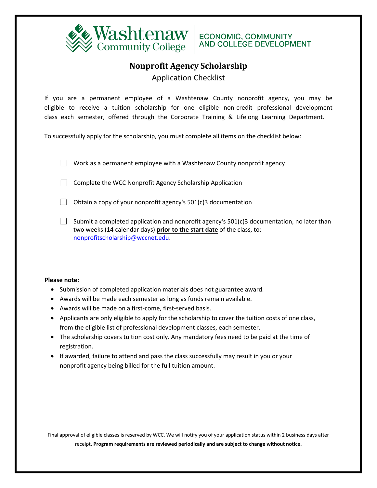

## **Nonprofit Agency Scholarship**

Application Checklist

If you are a permanent employee of a Washtenaw County nonprofit agency, you may be eligible to receive a tuition scholarship for one eligible non-credit professional development class each semester, offered through the Corporate Training & Lifelong Learning Department.

To successfully apply for the scholarship, you must complete all items on the checklist below:

Work as a permanent employee with a Washtenaw County nonprofit agency

Complete the WCC Nonprofit Agency Scholarship Application

Obtain a copy of your nonprofit agency's  $501(c)3$  documentation

Submit a completed application and nonprofit agency's  $501(c)3$  documentation, no later than two weeks (14 calendar days) **prior to the start date** of the class, to: nonprofitscholarship@wccnet.edu.

#### **Please note:**

- Submission of completed application materials does not guarantee award.
- Awards will be made each semester as long as funds remain available.
- Awards will be made on a first-come, first-served basis.
- Applicants are only eligible to apply for the scholarship to cover the tuition costs of one class, from the eligible list of professional development classes, each semester.
- The scholarship covers tuition cost only. Any mandatory fees need to be paid at the time of registration.
- If awarded, failure to attend and pass the class successfully may result in you or your nonprofit agency being billed for the full tuition amount.

Final approval of eligible classes is reserved by WCC. We will notify you of your application status within 2 business days after receipt. **Program requirements are reviewed periodically and are subject to change without notice.**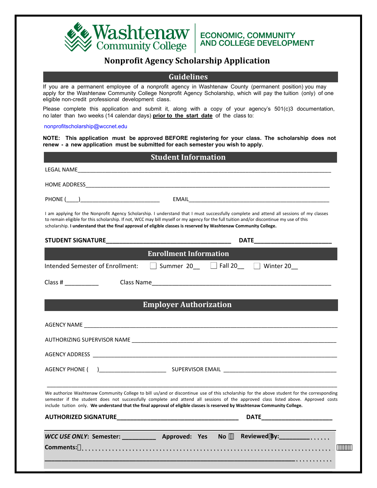

### **Nonprofit Agency Scholarship Application**

### **Guidelines**

If you are a permanent employee of a nonprofit agency in Washtenaw County (permanent position) you may apply for the Washtenaw Community College Nonprofit Agency Scholarship, which will pay the tuition (only) of one eligible non-credit professional development class.

Please complete this application and submit it, along with a copy of your agency's 501(c)3 documentation, no later than two weeks (14 calendar days) **prior to the start date** of the class to:

#### nonprofitscholarship@wccnet.edu

**NOTE: This application must be approved BEFORE registering for your class. The scholarship does not renew - a new application must be submitted for each semester you wish to apply.**

| <b>Student Information</b>       |                                                                                                                                                                                                                                                                                                                                                                                                                |  |
|----------------------------------|----------------------------------------------------------------------------------------------------------------------------------------------------------------------------------------------------------------------------------------------------------------------------------------------------------------------------------------------------------------------------------------------------------------|--|
|                                  |                                                                                                                                                                                                                                                                                                                                                                                                                |  |
|                                  |                                                                                                                                                                                                                                                                                                                                                                                                                |  |
|                                  |                                                                                                                                                                                                                                                                                                                                                                                                                |  |
|                                  | I am applying for the Nonprofit Agency Scholarship. I understand that I must successfully complete and attend all sessions of my classes<br>to remain eligible for this scholarship. If not, WCC may bill myself or my agency for the full tuition and/or discontinue my use of this<br>scholarship. I understand that the final approval of eligible classes is reserved by Washtenaw Community College.      |  |
|                                  |                                                                                                                                                                                                                                                                                                                                                                                                                |  |
|                                  | <b>Enrollment Information</b>                                                                                                                                                                                                                                                                                                                                                                                  |  |
| Intended Semester of Enrollment: | Summer 20   Fall 20   Winter 20                                                                                                                                                                                                                                                                                                                                                                                |  |
| Class # $\_$                     |                                                                                                                                                                                                                                                                                                                                                                                                                |  |
|                                  |                                                                                                                                                                                                                                                                                                                                                                                                                |  |
|                                  | <b>Employer Authorization</b>                                                                                                                                                                                                                                                                                                                                                                                  |  |
|                                  |                                                                                                                                                                                                                                                                                                                                                                                                                |  |
|                                  |                                                                                                                                                                                                                                                                                                                                                                                                                |  |
|                                  |                                                                                                                                                                                                                                                                                                                                                                                                                |  |
|                                  |                                                                                                                                                                                                                                                                                                                                                                                                                |  |
|                                  |                                                                                                                                                                                                                                                                                                                                                                                                                |  |
|                                  | We authorize Washtenaw Community College to bill us/and or discontinue use of this scholarship for the above student for the corresponding<br>semester if the student does not successfully complete and attend all sessions of the approved class listed above. Approved costs<br>include tuition only. We understand that the final approval of eligible classes is reserved by Washtenaw Community College. |  |
|                                  |                                                                                                                                                                                                                                                                                                                                                                                                                |  |
|                                  | WCC USE ONLY: Semester: _____________ Approved: Yes No Fleviewed By: __________                                                                                                                                                                                                                                                                                                                                |  |
| Comments:                        |                                                                                                                                                                                                                                                                                                                                                                                                                |  |
|                                  |                                                                                                                                                                                                                                                                                                                                                                                                                |  |
|                                  |                                                                                                                                                                                                                                                                                                                                                                                                                |  |